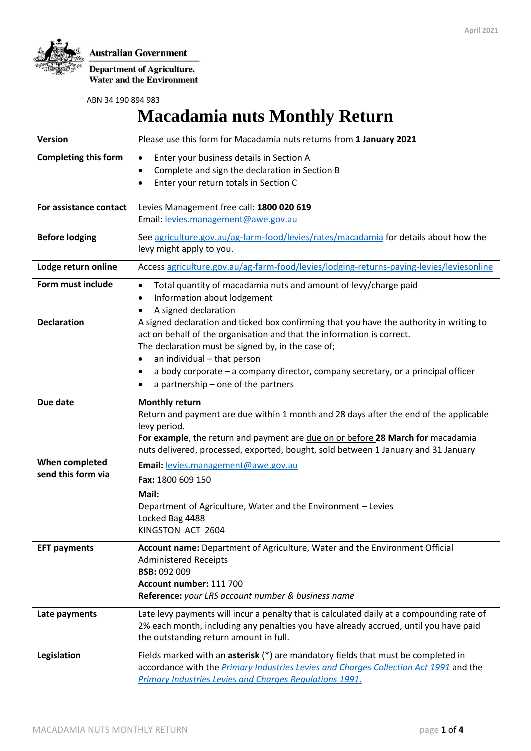

**Department of Agriculture, Water and the Environment** 

ABN 34 190 894 983

# **Macadamia nuts Monthly Return**

| <b>Version</b>                       | Please use this form for Macadamia nuts returns from 1 January 2021                                                                                                                                                                                                                                                                                                                          |  |  |  |  |
|--------------------------------------|----------------------------------------------------------------------------------------------------------------------------------------------------------------------------------------------------------------------------------------------------------------------------------------------------------------------------------------------------------------------------------------------|--|--|--|--|
| <b>Completing this form</b>          | Enter your business details in Section A<br>٠<br>Complete and sign the declaration in Section B<br>$\bullet$<br>Enter your return totals in Section C<br>$\bullet$                                                                                                                                                                                                                           |  |  |  |  |
| For assistance contact               | Levies Management free call: 1800 020 619<br>Email: levies.management@awe.gov.au                                                                                                                                                                                                                                                                                                             |  |  |  |  |
| <b>Before lodging</b>                | See agriculture.gov.au/ag-farm-food/levies/rates/macadamia for details about how the<br>levy might apply to you.                                                                                                                                                                                                                                                                             |  |  |  |  |
| Lodge return online                  | Access agriculture.gov.au/ag-farm-food/levies/lodging-returns-paying-levies/leviesonline                                                                                                                                                                                                                                                                                                     |  |  |  |  |
| Form must include                    | Total quantity of macadamia nuts and amount of levy/charge paid<br>$\bullet$<br>Information about lodgement<br>A signed declaration<br>٠                                                                                                                                                                                                                                                     |  |  |  |  |
| <b>Declaration</b>                   | A signed declaration and ticked box confirming that you have the authority in writing to<br>act on behalf of the organisation and that the information is correct.<br>The declaration must be signed by, in the case of;<br>an individual - that person<br>٠<br>a body corporate - a company director, company secretary, or a principal officer<br>٠<br>a partnership – one of the partners |  |  |  |  |
| Due date                             | <b>Monthly return</b><br>Return and payment are due within 1 month and 28 days after the end of the applicable<br>levy period.<br>For example, the return and payment are due on or before 28 March for macadamia<br>nuts delivered, processed, exported, bought, sold between 1 January and 31 January                                                                                      |  |  |  |  |
| When completed<br>send this form via | Email: levies.management@awe.gov.au<br>Fax: 1800 609 150<br>Mail:<br>Department of Agriculture, Water and the Environment - Levies<br>Locked Bag 4488<br>KINGSTON ACT 2604                                                                                                                                                                                                                   |  |  |  |  |
| <b>EFT payments</b>                  | Account name: Department of Agriculture, Water and the Environment Official<br><b>Administered Receipts</b><br><b>BSB: 092 009</b><br>Account number: 111 700<br>Reference: your LRS account number & business name                                                                                                                                                                          |  |  |  |  |
| Late payments                        | Late levy payments will incur a penalty that is calculated daily at a compounding rate of<br>2% each month, including any penalties you have already accrued, until you have paid<br>the outstanding return amount in full.                                                                                                                                                                  |  |  |  |  |
| Legislation                          | Fields marked with an asterisk (*) are mandatory fields that must be completed in<br>accordance with the <i>Primary Industries Levies and Charges Collection Act 1991</i> and the<br>Primary Industries Levies and Charges Regulations 1991.                                                                                                                                                 |  |  |  |  |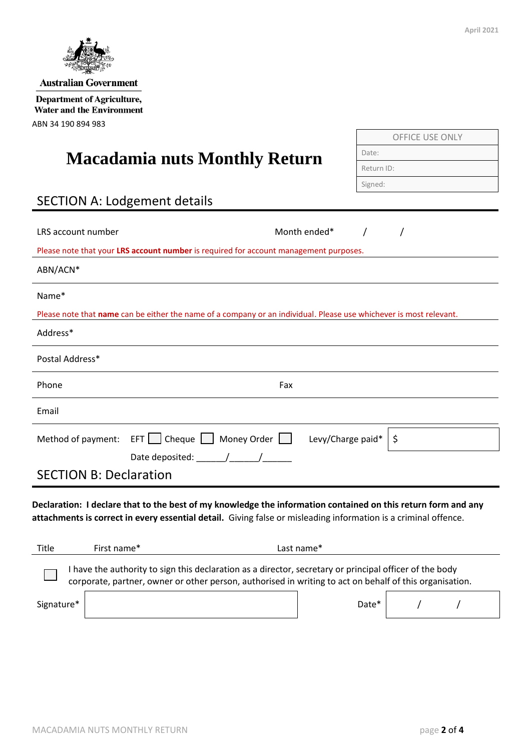

OFFICE USE ONLY

Date: Return ID: Signed:

# **Macadamia nuts Monthly Return**

# SECTION A: Lodgement details

| LRS account number                                                                                                                                                                                                               |                                                                                                                    | Month ended* |    |  |  |  |  |  |  |
|----------------------------------------------------------------------------------------------------------------------------------------------------------------------------------------------------------------------------------|--------------------------------------------------------------------------------------------------------------------|--------------|----|--|--|--|--|--|--|
| Please note that your LRS account number is required for account management purposes.                                                                                                                                            |                                                                                                                    |              |    |  |  |  |  |  |  |
| ABN/ACN*                                                                                                                                                                                                                         |                                                                                                                    |              |    |  |  |  |  |  |  |
| Name*                                                                                                                                                                                                                            |                                                                                                                    |              |    |  |  |  |  |  |  |
|                                                                                                                                                                                                                                  | Please note that name can be either the name of a company or an individual. Please use whichever is most relevant. |              |    |  |  |  |  |  |  |
| Address*                                                                                                                                                                                                                         |                                                                                                                    |              |    |  |  |  |  |  |  |
| Postal Address*                                                                                                                                                                                                                  |                                                                                                                    |              |    |  |  |  |  |  |  |
| Phone                                                                                                                                                                                                                            | Fax                                                                                                                |              |    |  |  |  |  |  |  |
| Email                                                                                                                                                                                                                            |                                                                                                                    |              |    |  |  |  |  |  |  |
| Method of payment:                                                                                                                                                                                                               | EFT   Cheque   Money Order   Levy/Charge paid*                                                                     |              | \$ |  |  |  |  |  |  |
| <b>SECTION B: Declaration</b>                                                                                                                                                                                                    |                                                                                                                    |              |    |  |  |  |  |  |  |
| Declaration: I declare that to the best of my knowledge the information contained on this return form and any<br>attachments is correct in every essential detail. Giving false or misleading information is a criminal offence. |                                                                                                                    |              |    |  |  |  |  |  |  |
| Title<br>First name*                                                                                                                                                                                                             | Last name*                                                                                                         |              |    |  |  |  |  |  |  |
| I have the authority to sign this declaration as a director, secretary or principal officer of the body<br>corporate, partner, owner or other person, authorised in writing to act on behalf of this organisation.               |                                                                                                                    |              |    |  |  |  |  |  |  |
| Signature*                                                                                                                                                                                                                       |                                                                                                                    | Date*        |    |  |  |  |  |  |  |



**Australian Government** 

**Department of Agriculture,** Water and the Environment

ABN 34 190 894 983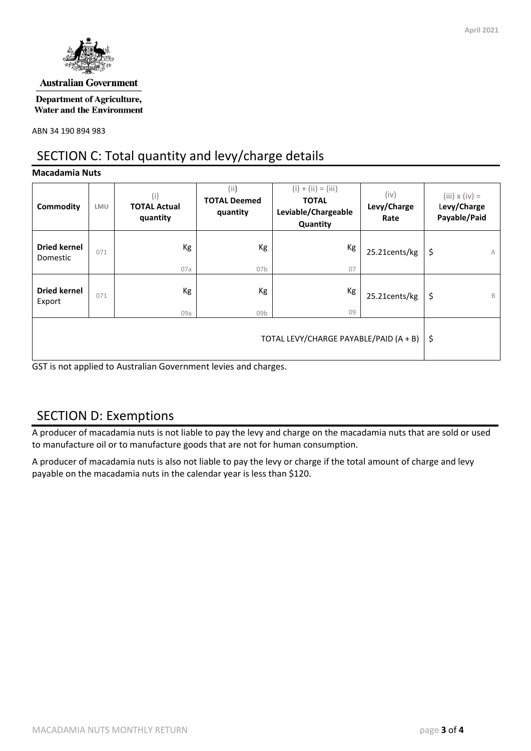

#### **Australian Government**

**Department of Agriculture, Water and the Environment** 

ABN 34 190 894 983

## SECTION C: Total quantity and levy/charge details

#### **Macadamia Nuts**

| Commodity                       | LMU | (i)<br><b>TOTAL Actual</b><br>quantity | (i)<br><b>TOTAL Deemed</b><br>quantity | $(i) + (ii) = (iii)$<br><b>TOTAL</b><br>Leviable/Chargeable<br>Quantity | (iv)<br>Levy/Charge<br>Rate | $(iii) \times (iv) =$<br>Levy/Charge<br>Payable/Paid |
|---------------------------------|-----|----------------------------------------|----------------------------------------|-------------------------------------------------------------------------|-----------------------------|------------------------------------------------------|
| <b>Dried kernel</b><br>Domestic | 071 | Kg<br>07a                              | Kg<br>07 <sub>b</sub>                  | Кg<br>07                                                                | 25.21cents/kg               | \$<br>А                                              |
| <b>Dried kernel</b><br>Export   | 071 | Kg<br>09a                              | Kg<br>09 <sub>b</sub>                  | Кg<br>09                                                                | 25.21cents/kg               | \$<br>B                                              |
|                                 | -\$ |                                        |                                        |                                                                         |                             |                                                      |

GST is not applied to Australian Government levies and charges.

## SECTION D: Exemptions

A producer of macadamia nuts is not liable to pay the levy and charge on the macadamia nuts that are sold or used to manufacture oil or to manufacture goods that are not for human consumption.

A producer of macadamia nuts is also not liable to pay the levy or charge if the total amount of charge and levy payable on the macadamia nuts in the calendar year is less than \$120.